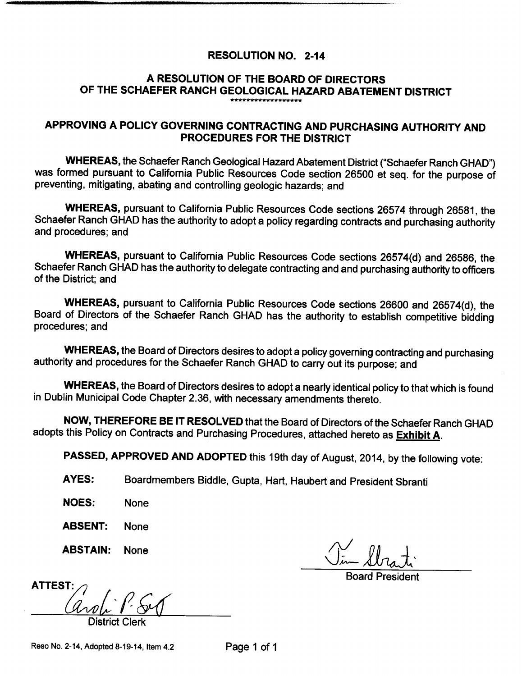# RESOLUTION NO. 2-14

# A RESOLUTION OF THE BOARD OF DIRECTORS OF THE SCHAEFER RANCH GEOLOGICAL HAZARD ABATEMENT DISTRICT

# APPROVING A POLICY GOVERNING CONTRACTING AND PURCHASING AUTHORITY AND PROCEDURES FOR THE DISTRICT

WHEREAS, the Schaefer Ranch Geological Hazard Abatement District ("Schaefer Ranch GHAD") was formed pursuant to California Public Resources Code section 26500 et seq. for the purpose of preventing, mitigating, abating and controlling geologic hazards; and

WHEREAS, pursuant to California Public Resources Code sections 26574 through 26581, the Schaefer Ranch GHAD has the authority to adopt a policy regarding contracts and purchasing authority and procedures; and

WHEREAS, pursuant to California Public Resources Code sections 26574(d) and 26586, the Schaefer Ranch GHAD has the authority to delegate contracting and and purchasing authority to officers of the District; and

WHEREAS, pursuant to California Public Resources Code sections 26600 and 26574(d), the Board of Directors of the Schaefer Ranch GHAD has the authority to establish competitive bidding procedures; and

WHEREAS, the Board of Directors desires to adopt a policy governing contracting and purchasing authority and procedures for the Schaefer Ranch GHAD to carry out its purpose; and

WHEREAS, the Board of Directors desires to adopt a nearly identical policy to that which is found in Dublin Municipal Code Chapter 2. 36, with necessary amendments thereto.

NOW, THEREFORE BE IT RESOLVED that the Board of Directors of the Schaefer Ranch GHAD adopts this Policy on Contracts and Purchasing Procedures, attached hereto as **Exhibit A**.

PASSED, APPROVED AND ADOPTED this 19th day of August, 2014, by the following vote:

AYES: Boardmembers Biddle, Gupta, Hart, Haubert and President Sbranti

- NOES: None
- ABSENT: None
- **ABSTAIN:** None  $\bigwedge$

ii Vin Strat

Board President

ATTEST: District Clerk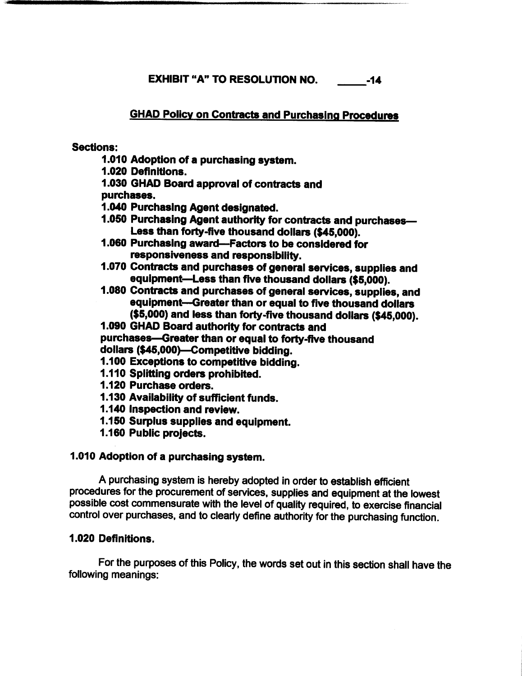EXHIBIT "A" TO RESOLUTION NO. 44

# GHAD Policy on Contracts and Purchasing Procedures

## Sections:

- 1. 010 Adoption of a purchasing system.
- 1. 020 Definitions.
- 1. 030 GHAD Board approval of contracts and

purchases.

- 1. 040 Purchasing Agent designated.
- 1. 050 Purchasing Agent authority for contracts and purchases— Less than forty-five thousand dollars (\$45,000).
- 1. 060 Purchasing award—Factors to be considered for responsiveness and responsibility.
- 1. 070 Contracts and purchases of general services, supplies and equipment—Less than five thousand dollars (\$5,000).
- 1. 080 Contracts and purchases of general services, supplies, and equipment—Greater than or equal to five thousand dollars 5,000) and less than forty-five thousand dollars (\$45,000).
- 1. 090 GHAD Board authority for contracts and purchases—Greater than or equal to forty-five thousand
- dollars (\$45,000)—Competitive bidding.
- 1. 100 Exceptions to competitive bidding.
- 1. 110 Splitting orders prohibited.
- 1. 120 Purchase orders.
- 1. 130 Availability of sufficient funds.
- 1. 140 Inspection and review.
- 1. 150 Surplus supplies and equipment.
- 1. 160 Public projects.

# 1. 010 Adoption of a purchasing system.

A purchasing system is hereby adopted in order to establish efficient procedures for the procurement of services, supplies and equipment at the lowest possible cost commensurate with the level of quality required, to exercise financial control over purchases, and to clearly define authority for the purchasing function.

# 1. 020 Definitions.

For the purposes of this Policy, the words set out in this section shall have the following meanings: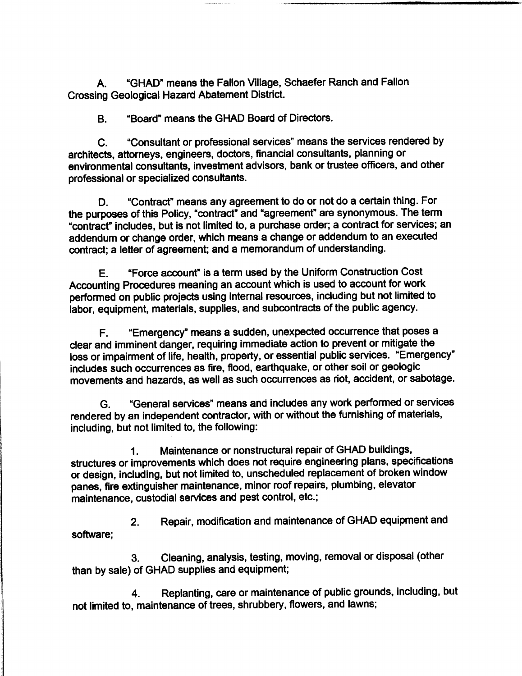A. " GHAD" means the Fallon Village, Schaefer Ranch and Fallon Crossing Geological Hazard Abatement District.

B. " Board" means the GHAD Board of Directors.

C. " Consultant or professional services" means the services rendered by architects, attorneys, engineers, doctors, financial consultants, planning or environmental consultants, investment advisors, bank or trustee officers, and other professional or specialized consultants.

D. " Contract" means any agreement to do or not do a certain thing. For the purposes of this Policy, "contract" and "agreement" are synonymous. The term contract" includes, but is not limited to, a purchase order; a contract for services; an addendum or change order, which means a change or addendum to an executed contract; a letter of agreement; and a memorandum of understanding.

E. " Force account" is a term used by the Uniform Construction Cost Accounting Procedures meaning an account which is used to account for work performed on public projects using internal resources, including but not limited to labor, equipment, materials, supplies, and subcontracts of the public agency.

F. " Emergency" means a sudden, unexpected occurrence that poses a clear and imminent danger, requiring immediate action to prevent or mitigate the loss or impairment of life, health, property, or essential public services. "Emergency" includes such occurrences as fire, flood, earthquake, or other soil or geologic movements and hazards, as well as such occurrences as riot, accident, or sabotage.

G. " General services" means and includes any work performed or services rendered by an independent contractor, with or without the furnishing of materials, including, but not limited to, the following:

1. Maintenance or nonstructural repair of GHAD buildings, structures or improvements which does not require engineering plans, specifications or design, including, but not limited to, unscheduled replacement of broken window panes, fire extinguisher maintenance, minor roof repairs, plumbing, elevator maintenance, custodial services and pest control, etc.;

2. Repair, modification and maintenance of GHAD equipment and software;

3. Cleaning, analysis, testing, moving, removal or disposal (other than by sale) of GHAD supplies and equipment;

4. Replanting, care or maintenance of public grounds, including, but not limited to, maintenance of trees, shrubbery, flowers, and lawns;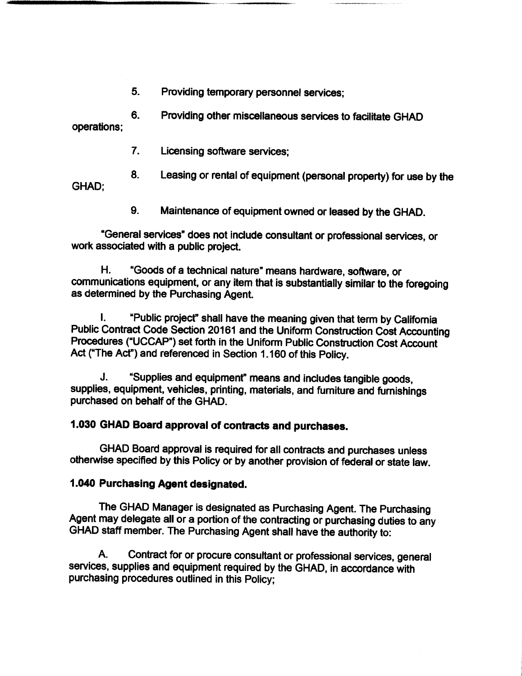5. Providing temporary personnel services;

6. Providing other miscellaneous services to facilitate GHAD operations;

- 7. Licensing software services;
- 8. Leasing or rental of equipment (personal property) for use by the

GHAD;

9. Maintenance of equipment owned or leased by the GHAD.

General services" does not include consultant or professional services, or work associated with a public project.

H. " Goods of a technical nature" means hardware, software, or communications equipment, or any item that is substantially similar to the foregoing as determined by the Purchasing Agent.

I. "Public project" shall have the meaning given that term by California Public Contract Code Section 20161 and the Uniform Construction Cost Accounting Procedures ("UCCAP") set forth in the Uniform Public Construction Cost Account Act ("The Act") and referenced in Section 1. <sup>160</sup> of this Policy.

J. " Supplies and equipment" means and includes tangible goods, supplies, equipment, vehicles, printing, materials, and furniture and furnishings purchased on behalf of the GHAD.

## 1. 030 GHAD Board approval of contracts and purchases.

GHAD Board approval is required for all contracts and purchases unless otherwise specified by this Policy or by another provision of federal or state law.

## 1. 040 Purchasing Agent designated.

The GHAD Manager is designated as Purchasing Agent. The Purchasing Agent may delegate all or a portion of the contracting or purchasing duties to any GHAD staff member. The Purchasing Agent shall have the authority to:

A. Contract for or procure consultant or professional services, general services, supplies and equipment required by the GHAD, in accordance with purchasing procedures outlined in this Policy;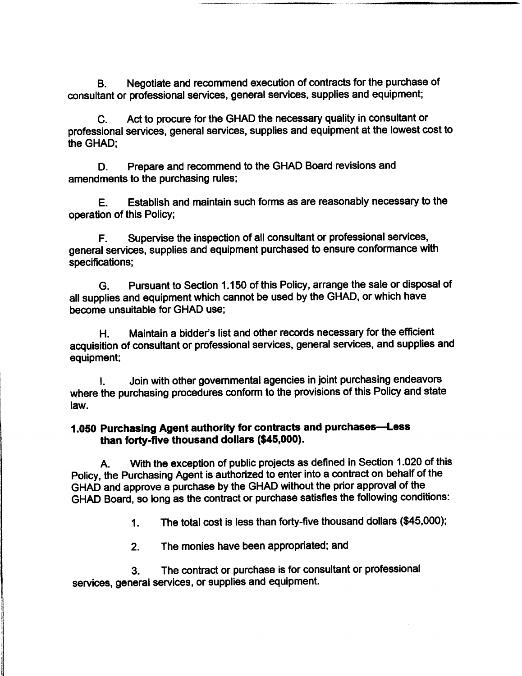B. Negotiate and recommend execution of contracts for the purchase of consultant or professional services, general services, supplies and equipment;

C. Act to procure for the GHAD the necessary quality in consultant or professional services, general services, supplies and equipment at the lowest cost to the GHAD;

D. Prepare and recommend to the GHAD Board revisions and amendments to the purchasing rules;

E. Establish and maintain such forms as are reasonably necessary to the operation of this Policy;

F. Supervise the inspection of all consultant or professional services, general services, supplies and equipment purchased to ensure conformance with specifications;

G. Pursuant to Section 1. 150 of this Policy, arrange the sale or disposal of all supplies and equipment which cannot be used by the GHAD, or which have become unsuitable for GHAD use;

H. Maintain a bidder's list and other records necessary for the efficient acquisition of consultant or professional services, general services, and supplies and equipment;

I. Join with other governmental agencies in joint purchasing endeavors where the purchasing procedures conform to the provisions of this Policy and state law.

# 1. <sup>050</sup> Purchasing Agent authority for contracts and purchases—Less than forty-five thousand dollars (\$45,000).

A. With the exception of public projects as defined in Section 1. 020 of this Policy, the Purchasing Agent is authorized to enter into a contract on behalf of the GHAD and approve a purchase by the GHAD without the prior approval of the GHAD Board, so long as the contract or purchase satisfies the following conditions:

1. The total cost is less than forty-five thousand dollars (\$45,000);

2. The monies have been appropriated; and

3. The contract or purchase is for consultant or professional services, general services, or supplies and equipment.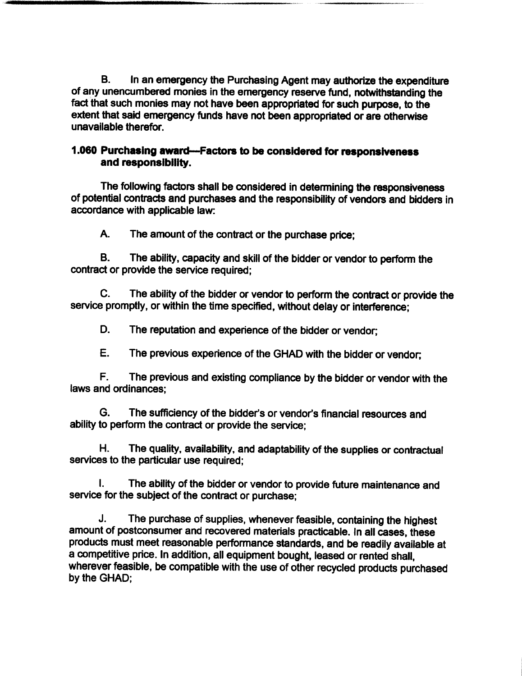B. In an emergency the Purchasing Agent may authorize the expenditure of any unencumbered monies in the emergency reserve fund, notwithstanding the fact that such monies may not have been appropriated for such purpose, to the extent that said emergency funds have not been appropriated or are otherwise unavailable therefor.

## 1. 060 Purchasing award—Factors to be considered for responsiveness and responsibility.

The following factors shall be considered in determining the responsiveness of potential contracts and purchases and the responsibility of vendors and bidders in accordance with applicable law:

A. The amount of the contract or the purchase price;

B. The ability, capacity and skill of the bidder or vendor to perform the contract or provide the service required;

C. The ability of the bidder or vendor to perform the contract or provide the service promptly, or within the time specified, without delay or interference;

D. The reputation and experience of the bidder or vendor;

E. The previous experience of the GHAD with the bidder or vendor;

F. The previous and existing compliance by the bidder or vendor with the laws and ordinances;

G. The sufficiency of the bidder's or vendor's financial resources and ability to perform the contract or provide the service;

H. The quality, availability, and adaptability of the supplies or contractual services to the particular use required;

I. The ability of the bidder or vendor to provide future maintenance and service for the subject of the contract or purchase;

J. The purchase of supplies, whenever feasible, containing the highest amount of postconsumer and recovered materials practicable. In all cases, these products must meet reasonable performance standards, and be readily available at a competitive price. In addition, all equipment bought, leased or rented shall, wherever feasible, be compatible with the use of other recycled products purchased by the GHAD;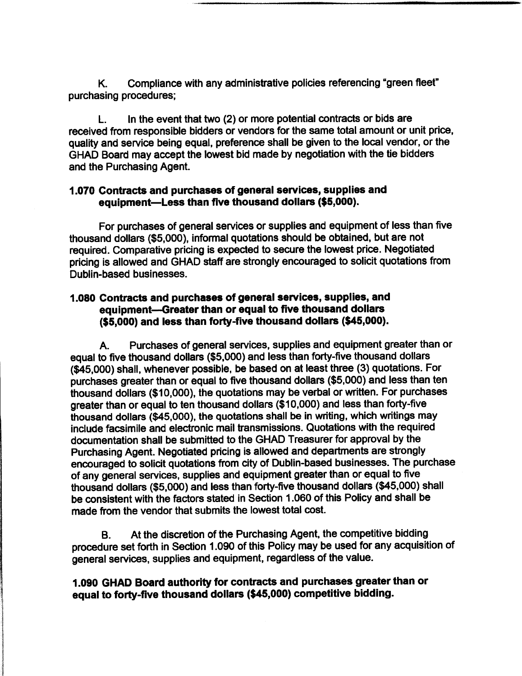K. Compliance with any administrative policies referencing "green fleet" purchasing procedures;

L. In the event that two (2) or more potential contracts or bids are received from responsible bidders or vendors for the same total amount or unit price, quality and service being equal, preference shall be given to the local vendor, or the GHAD Board may accept the lowest bid made by negotiation with the tie bidders and the Purchasing Agent.

## 1. 070 Contracts and purchases of general services, supplies and equipment—Less than five thousand dollars (\$5,000).

For purchases of general services or supplies and equipment of less than five thousand dollars (\$5,000), informal quotations should be obtained, but are not required. Comparative pricing is expected to secure the lowest price. Negotiated pricing is allowed and GHAD staff are strongly encouraged to solicit quotations from Dublin-based businesses.

## 1. 080 Contracts and purchases of general services, supplies, and equipment—Greater than or equal to five thousand dollars 5,000) and less than forty-five thousand dollars (\$45,000).

A. Purchases of general services, supplies and equipment greater than or equal to five thousand dollars (\$5,000) and less than forty-five thousand dollars 45,000) shall, whenever possible, be based on at least three (3) quotations. For purchases greater than or equal to five thousand dollars (\$5,000) and less than ten thousand dollars (\$ 10,000), the quotations may be verbal or written. For purchases greater than or equal to ten thousand dollars (\$ 10,000) and less than forty-five thousand dollars (\$45,000), the quotations shall be in writing, which writings may include facsimile and electronic mail transmissions. Quotations with the required documentation shall be submitted to the GHAD Treasurer for approval by the Purchasing Agent. Negotiated pricing is allowed and departments are strongly encouraged to solicit quotations from city of Dublin-based businesses. The purchase of any general services, supplies and equipment greater than or equal to five thousand dollars (\$5,000) and less than forty-five thousand dollars (\$45,000) shall be consistent with the factors stated in Section 1. 060 of this Policy and shall be made from the vendor that submits the lowest total cost.

B. At the discretion of the Purchasing Agent, the competitive bidding procedure set forth in Section 1. 090 of this Policy may be used for any acquisition of general services, supplies and equipment, regardless of the value.

# 1. 090 GHAD Board authority for contracts and purchases greater than or equal to forty-five thousand dollars (\$45,000) competitive bidding.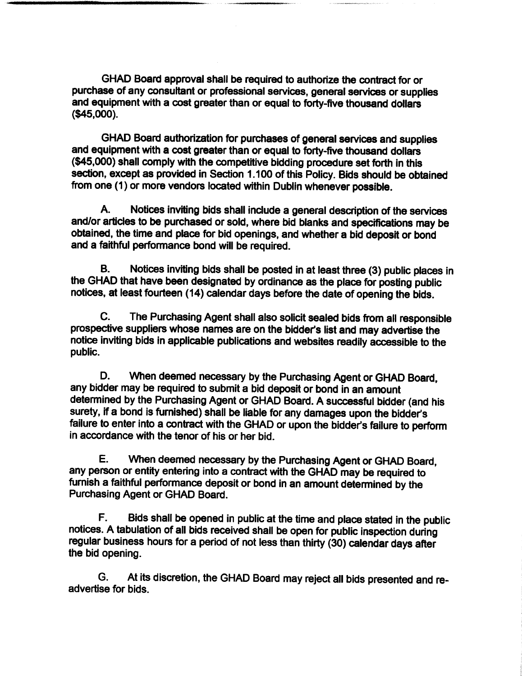GHAD Board approval shall be required to authorize the contract for or purchase of any consultant or professional services, general services or supplies and equipment with a cost greater than or equal to forty-five thousand dollars 45,000).

GHAD Board authorization for purchases of general services and supplies and equipment with a cost greater than or equal to forty-five thousand dollars 45,000) shall comply with the competitive bidding procedure set forth in this section, except as provided in Section 1. 100 of this Policy. Bids should be obtained from one (1) or more vendors located within Dublin whenever possible.

A. Notices inviting bids shall include a general description of the services and/or articles to be purchased or sold, where bid blanks and specifications may be obtained, the time and place for bid openings, and whether a bid deposit or bond and a faithful performance bond will be required.

B. Notices inviting bids shall be posted in at least three (3) public places in the GHAD that have been designated by ordinance as the place for posting public notices, at least fourteen ( 14) calendar days before the date of opening the bids.

C. The Purchasing Agent shall also solicit sealed bids from all responsible prospective suppliers whose names are on the bidder's list and may advertise the notice inviting bids in applicable publications and websites readily accessible to the public.

D. When deemed necessary by the Purchasing Agent or GHAD Board, any bidder may be required to submit a bid deposit or bond in an amount determined by the Purchasing Agent or GHAD Board. A successful bidder( and his surety, if a bond is furnished) shall be liable for any damages upon the bidder's failure to enter into a contract with the GHAD or upon the bidder's failure to perform in accordance with the tenor of his or her bid.

E. When deemed necessary by the Purchasing Agent or GHAD Board, any person or entity entering into a contract with the GHAD may be required to furnish a faithful performance deposit or bond in an amount determined by the Purchasing Agent or GHAD Board.

F. Bids shall be opened in public at the time and place stated in the public notices. A tabulation of all bids received shall be open for public inspection during regular business hours for a period of not less than thirty (30) calendar days after the bid opening.

G. At its discretion, the GHAD Board may reject all bids presented and readvertise for bids.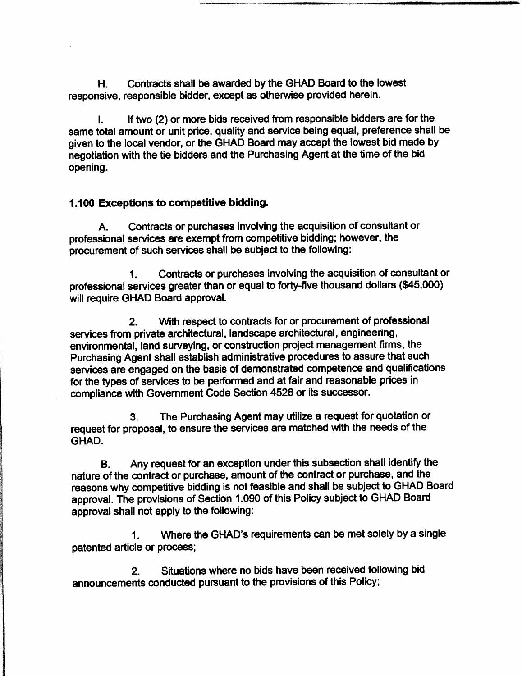H. Contracts shall be awarded by the GHAD Board to the lowest responsive, responsible bidder, except as otherwise provided herein.

I. If two (2) or more bids received from responsible bidders are for the same total amount or unit price, quality and service being equal, preference shall be given to the local vendor, or the GHAD Board may accept the lowest bid made by negotiation with the tie bidders and the Purchasing Agent at the time of the bid opening.

## 1. 100 Exceptions to competitive bidding.

A. Contracts or purchases involving the acquisition of consultant or professional services are exempt from competitive bidding; however, the procurement of such services shall be subject to the following:

1. Contracts or purchases involving the acquisition of consultant or professional services greater than or equal to forty-five thousand dollars (\$45,000) will require GHAD Board approval.

2. With respect to contracts for or procurement of professional services from private architectural, landscape architectural, engineering, environmental, land surveying, or construction project management firms, the Purchasing Agent shall establish administrative procedures to assure that such services are engaged on the basis of demonstrated competence and qualifications for the types of services to be performed and at fair and reasonable prices in compliance with Government Code Section 4526 or its successor.

3. The Purchasing Agent may utilize a request for quotation or request for proposal, to ensure the services are matched with the needs of the GHAD.

B. Any request for an exception under this subsection shall identify the nature of the contract or purchase, amount of the contract or purchase, and the reasons why competitive bidding is not feasible and shall be subject to GHAD Board approval. The provisions of Section 1. 090 of this Policy subject to GHAD Board approval shall not apply to the following:

1. Where the GHAD's requirements can be met solely by a single patented article or process;

2. Situations where no bids have been received following bid announcements conducted pursuant to the provisions of this Policy;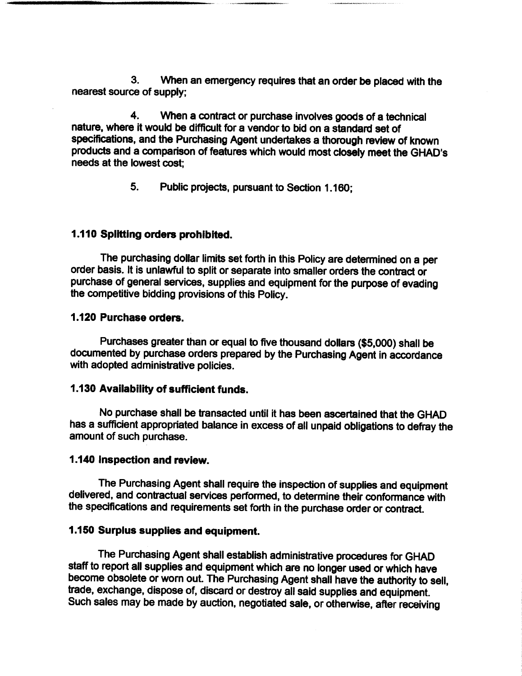3. When an emergency requires that an order be placed with the nearest source of supply;

4. When a contract or purchase involves goods of a technical nature, where it would be difficult for a vendor to bid on a standard set of specifications, and the Purchasing Agent undertakes a thorough review of known products and a comparison of features which would most closely meet the GHAD's needs at the lowest cost;

5. Public projects, pursuant to Section 1. 160;

## 1. 110 Splitting orders prohibited.

The purchasing dollar limits set forth in this Policy are determined on a per order basis. It is unlawful to split or separate into smaller orders the contract or purchase of general services, supplies and equipment for the purpose of evading the competitive bidding provisions of this Policy.

#### 1. 120 Purchase orders.

Purchases greater than or equal to five thousand dollars (\$5,000) shall be documented by purchase orders prepared by the Purchasing Agent in accordance with adopted administrative policies.

#### 1. 130 Availability of sufficient funds.

No purchase shall be transacted until it has been ascertained that the GHAD has a sufficient appropriated balance in excess of all unpaid obligations to defray the amount of such purchase.

## 1. 140 Inspection and review.

The Purchasing Agent shall require the inspection of supplies and equipment delivered, and contractual services performed, to determine their conformance with the specifications and requirements set forth in the purchase order or contract.

#### 1. 150 Surplus supplies and equipment.

The Purchasing Agent shall establish administrative procedures for GHAD staff to report all supplies and equipment which are no longer used or which have become obsolete or worn out. The Purchasing Agent shall have the authority to sell, trade, exchange, dispose of, discard or destroy all said supplies and equipment. Such sales may be made by auction, negotiated sale, or otherwise, after receiving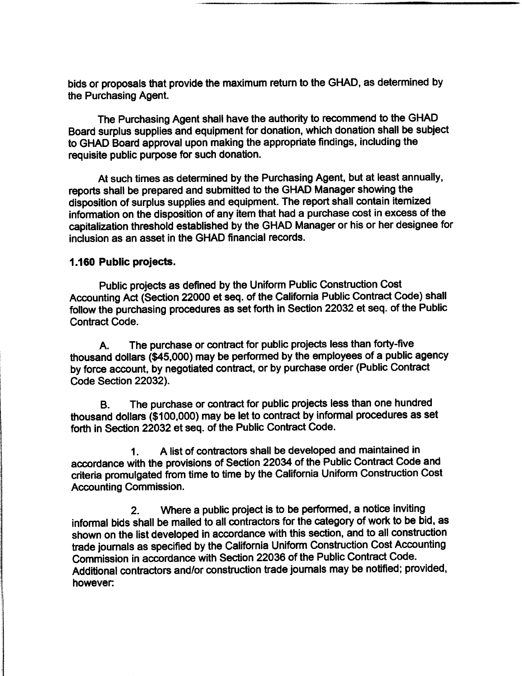bids or proposals that provide the maximum return to the GHAD, as determined by the Purchasing Agent.

The Purchasing Agent shall have the authority to recommend to the GHAD Board surplus supplies and equipment for donation, which donation shall be subject to GHAD Board approval upon making the appropriate findings, including the requisite public purpose for such donation.

At such times as determined by the Purchasing Agent, but at least annually, reports shall be prepared and submitted to the GHAD Manager showing the disposition of surplus supplies and equipment. The report shall contain itemized information on the disposition of any item that had a purchase cost in excess of the capitalization threshold established by the GHAD Manager or his or her designee for inclusion as an asset in the GHAD financial records.

#### 1. 160 Public projects.

Public projects as defined by the Uniform Public Construction Cost Accounting Act (Section 22000 et seq. of the California Public Contract Code) shall follow the purchasing procedures as set forth in Section 22032 et seq. of the Public Contract Code.

A. The purchase or contract for public projects less than forty-five thousand dollars (\$45,000) may be performed by the employees of a public agency by force account, by negotiated contract, or by purchase order( Public Contract Code Section 22032).

B. The purchase or contract for public projects less than one hundred thousand dollars (\$ 100,000) may be let to contract by informal procedures as set forth in Section 22032 et seq. of the Public Contract Code.

1. A list of contractors shall be developed and maintained in accordance with the provisions of Section 22034 of the Public Contract Code and criteria promulgated from time to time by the California Uniform Construction Cost Accounting Commission.

2. Where a public project is to be performed, a notice inviting informal bids shall be mailed to all contractors for the category of work to be bid, as shown on the list developed in accordance with this section, and to all construction trade journals as specified by the California Uniform Construction Cost Accounting Commission in accordance with Section 22036 of the Public Contract Code. Additional contractors and/or construction trade journals may be notified; provided, however: